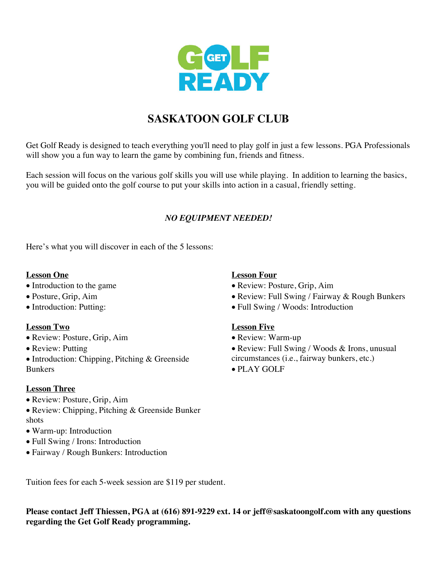

## **SASKATOON GOLF CLUB**

Get Golf Ready is designed to teach everything you'll need to play golf in just a few lessons. PGA Professionals will show you a fun way to learn the game by combining fun, friends and fitness.

Each session will focus on the various golf skills you will use while playing. In addition to learning the basics, you will be guided onto the golf course to put your skills into action in a casual, friendly setting.

### *NO EQUIPMENT NEEDED!*

Here's what you will discover in each of the 5 lessons:

#### **Lesson One**

- Introduction to the game
- Posture, Grip, Aim
- Introduction: Putting:

#### **Lesson Two**

- Review: Posture, Grip, Aim
- Review: Putting
- Introduction: Chipping, Pitching & Greenside Bunkers

#### **Lesson Three**

- Review: Posture, Grip, Aim
- Review: Chipping, Pitching & Greenside Bunker shots
- Warm-up: Introduction
- Full Swing / Irons: Introduction
- Fairway / Rough Bunkers: Introduction

#### **Lesson Four**

- Review: Posture, Grip, Aim
- Review: Full Swing / Fairway & Rough Bunkers
- Full Swing / Woods: Introduction

#### **Lesson Five**

- Review: Warm-up
- Review: Full Swing / Woods & Irons, unusual circumstances (i.e., fairway bunkers, etc.)
- PLAY GOLF

Tuition fees for each 5-week session are \$119 per student.

**Please contact Jeff Thiessen, PGA at (616) 891-9229 ext. 14 or jeff@saskatoongolf.com with any questions regarding the Get Golf Ready programming.**